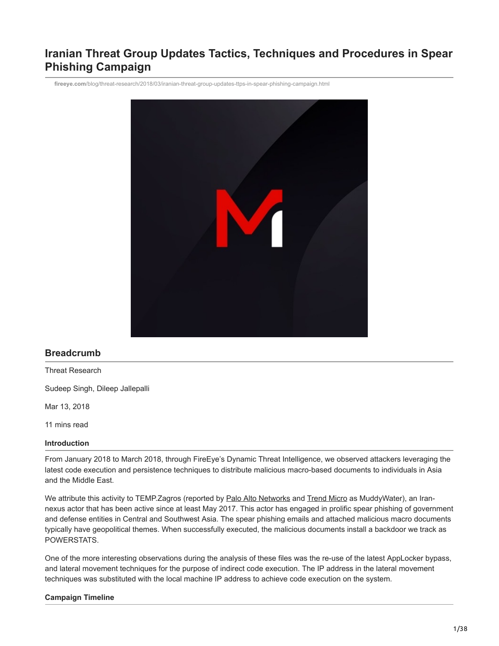# **Iranian Threat Group Updates Tactics, Techniques and Procedures in Spear Phishing Campaign**

**fireeye.com**[/blog/threat-research/2018/03/iranian-threat-group-updates-ttps-in-spear-phishing-campaign.html](https://www.fireeye.com/blog/threat-research/2018/03/iranian-threat-group-updates-ttps-in-spear-phishing-campaign.html)



## **Breadcrumb**

Threat Research

Sudeep Singh, Dileep Jallepalli

Mar 13, 2018

11 mins read

#### **Introduction**

From January 2018 to March 2018, through FireEye's Dynamic Threat Intelligence, we observed attackers leveraging the latest code execution and persistence techniques to distribute malicious macro-based documents to individuals in Asia and the Middle East.

We attribute this activity to TEMP.Zagros (reported by [Palo Alto Networks](https://researchcenter.paloaltonetworks.com/2017/11/unit42-muddying-the-water-targeted-attacks-in-the-middle-east/) and [Trend Micro](https://blog.trendmicro.com/trendlabs-security-intelligence/campaign-possibly-connected-muddywater-surfaces-middle-east-central-asia/) as MuddyWater), an Irannexus actor that has been active since at least May 2017. This actor has engaged in prolific spear phishing of government and defense entities in Central and Southwest Asia. The spear phishing emails and attached malicious macro documents typically have geopolitical themes. When successfully executed, the malicious documents install a backdoor we track as POWERSTATS.

One of the more interesting observations during the analysis of these files was the re-use of the latest AppLocker bypass, and lateral movement techniques for the purpose of indirect code execution. The IP address in the lateral movement techniques was substituted with the local machine IP address to achieve code execution on the system.

#### **Campaign Timeline**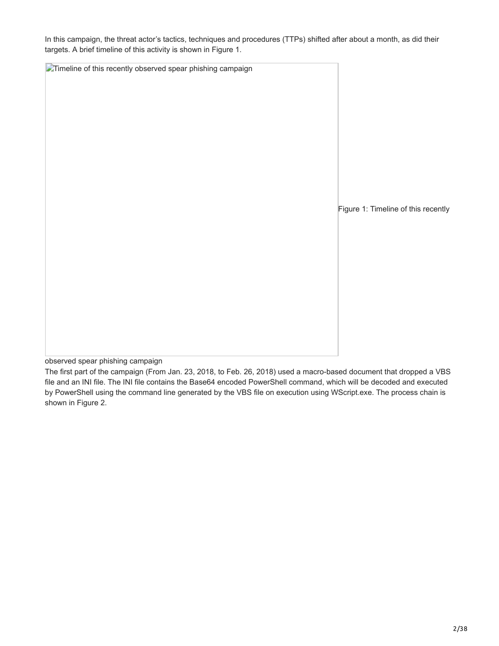In this campaign, the threat actor's tactics, techniques and procedures (TTPs) shifted after about a month, as did their targets. A brief timeline of this activity is shown in Figure 1.

**Timeline of this recently observed spear phishing campaign** Figure 1: Timeline of this recently

observed spear phishing campaign

The first part of the campaign (From Jan. 23, 2018, to Feb. 26, 2018) used a macro-based document that dropped a VBS file and an INI file. The INI file contains the Base64 encoded PowerShell command, which will be decoded and executed by PowerShell using the command line generated by the VBS file on execution using WScript.exe. The process chain is shown in Figure 2.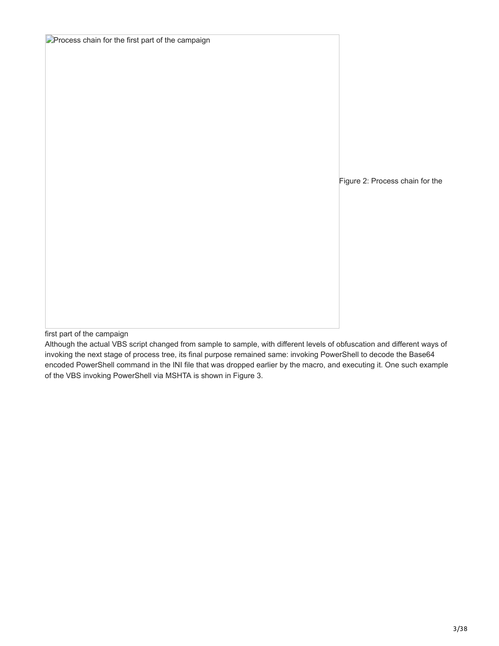| <b>Process chain for the first part of the campaign</b> |                                 |
|---------------------------------------------------------|---------------------------------|
|                                                         |                                 |
|                                                         |                                 |
|                                                         |                                 |
|                                                         |                                 |
|                                                         |                                 |
|                                                         |                                 |
|                                                         |                                 |
|                                                         | Figure 2: Process chain for the |
|                                                         |                                 |
|                                                         |                                 |
|                                                         |                                 |
|                                                         |                                 |
|                                                         |                                 |
|                                                         |                                 |
|                                                         |                                 |
|                                                         |                                 |

first part of the campaign

Although the actual VBS script changed from sample to sample, with different levels of obfuscation and different ways of invoking the next stage of process tree, its final purpose remained same: invoking PowerShell to decode the Base64 encoded PowerShell command in the INI file that was dropped earlier by the macro, and executing it. One such example of the VBS invoking PowerShell via MSHTA is shown in Figure 3.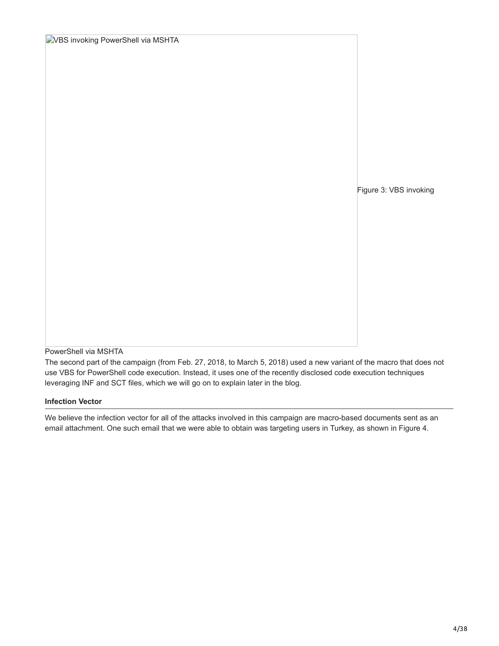| <b>EVBS invoking PowerShell via MSHTA</b> |                        |
|-------------------------------------------|------------------------|
|                                           |                        |
|                                           |                        |
|                                           |                        |
|                                           |                        |
|                                           |                        |
|                                           |                        |
|                                           |                        |
|                                           |                        |
|                                           | Figure 3: VBS invoking |
|                                           |                        |
|                                           |                        |
|                                           |                        |
|                                           |                        |
|                                           |                        |
|                                           |                        |
|                                           |                        |
|                                           |                        |
| PowerShell via MSHTA                      |                        |

The second part of the campaign (from Feb. 27, 2018, to March 5, 2018) used a new variant of the macro that does not use VBS for PowerShell code execution. Instead, it uses one of the recently disclosed code execution techniques leveraging INF and SCT files, which we will go on to explain later in the blog.

## **Infection Vector**

We believe the infection vector for all of the attacks involved in this campaign are macro-based documents sent as an email attachment. One such email that we were able to obtain was targeting users in Turkey, as shown in Figure 4.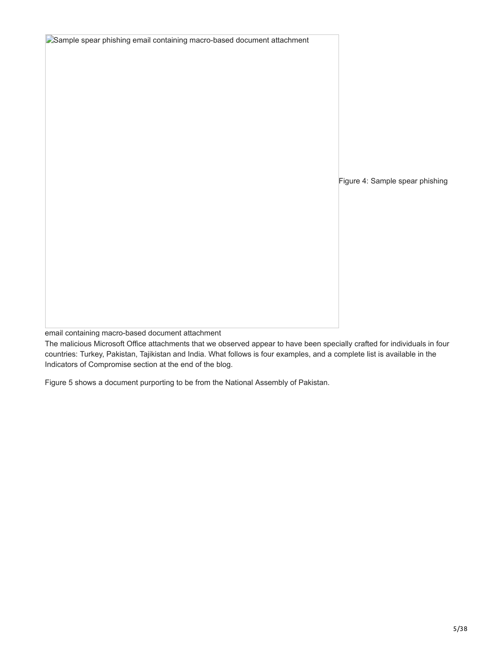| Sample spear phishing email containing macro-based document attachment |                                 |
|------------------------------------------------------------------------|---------------------------------|
|                                                                        | Figure 4: Sample spear phishing |
|                                                                        |                                 |

email containing macro-based document attachment

The malicious Microsoft Office attachments that we observed appear to have been specially crafted for individuals in four countries: Turkey, Pakistan, Tajikistan and India. What follows is four examples, and a complete list is available in the Indicators of Compromise section at the end of the blog.

Figure 5 shows a document purporting to be from the National Assembly of Pakistan.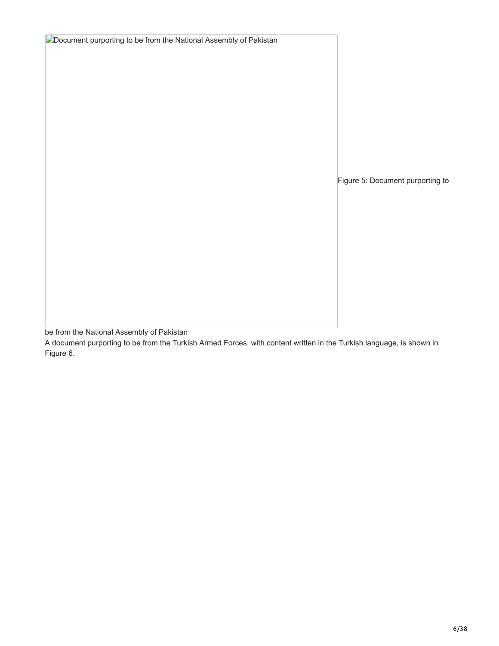| Document purporting to be from the National Assembly of Pakistan |                                  |
|------------------------------------------------------------------|----------------------------------|
|                                                                  |                                  |
|                                                                  |                                  |
|                                                                  |                                  |
|                                                                  |                                  |
|                                                                  |                                  |
|                                                                  |                                  |
|                                                                  |                                  |
|                                                                  |                                  |
|                                                                  |                                  |
|                                                                  |                                  |
|                                                                  | Figure 5: Document purporting to |
|                                                                  |                                  |
|                                                                  |                                  |
|                                                                  |                                  |
|                                                                  |                                  |
|                                                                  |                                  |
|                                                                  |                                  |
|                                                                  |                                  |
|                                                                  |                                  |
|                                                                  |                                  |
|                                                                  |                                  |

be from the National Assembly of Pakistan

A document purporting to be from the Turkish Armed Forces, with content written in the Turkish language, is shown in Figure 6.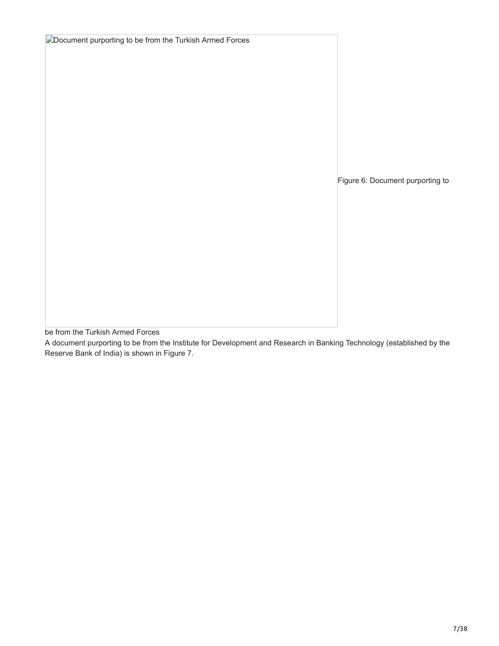| Document purporting to be from the Turkish Armed Forces |                                  |
|---------------------------------------------------------|----------------------------------|
|                                                         |                                  |
|                                                         |                                  |
|                                                         |                                  |
|                                                         |                                  |
|                                                         |                                  |
|                                                         |                                  |
|                                                         |                                  |
|                                                         | Figure 6: Document purporting to |
|                                                         |                                  |
|                                                         |                                  |
|                                                         |                                  |
|                                                         |                                  |
|                                                         |                                  |
|                                                         |                                  |
|                                                         |                                  |

be from the Turkish Armed Forces

A document purporting to be from the Institute for Development and Research in Banking Technology (established by the Reserve Bank of India) is shown in Figure 7.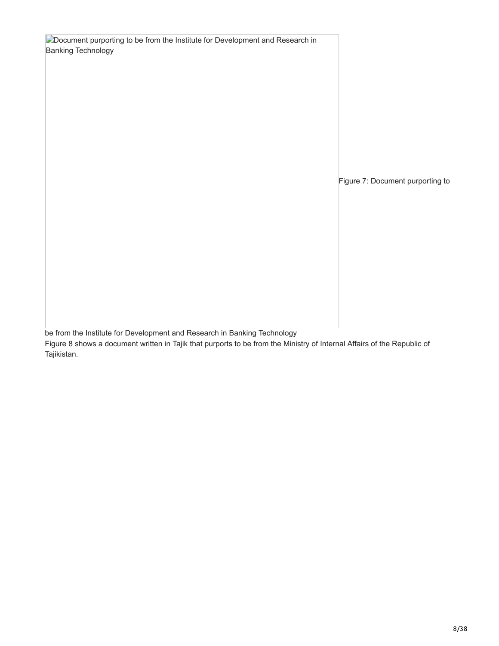| Document purporting to be from the Institute for Development and Research in<br><b>Banking Technology</b> |                                  |
|-----------------------------------------------------------------------------------------------------------|----------------------------------|
|                                                                                                           | Figure 7: Document purporting to |

be from the Institute for Development and Research in Banking Technology

Figure 8 shows a document written in Tajik that purports to be from the Ministry of Internal Affairs of the Republic of Tajikistan.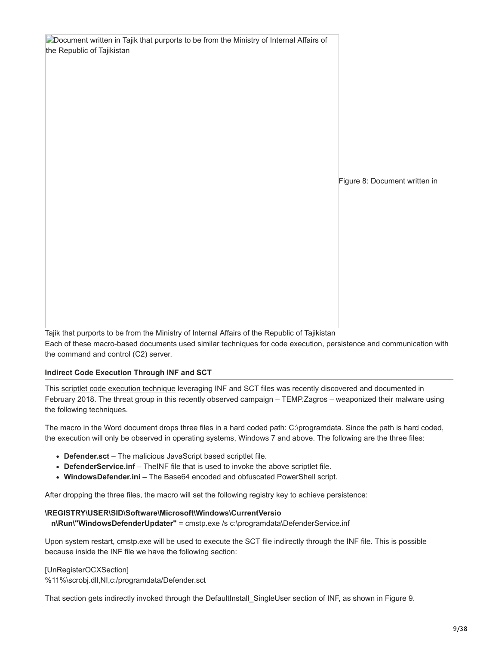| Document written in Tajik that purports to be from the Ministry of Internal Affairs of |                               |
|----------------------------------------------------------------------------------------|-------------------------------|
| the Republic of Tajikistan                                                             |                               |
|                                                                                        |                               |
|                                                                                        |                               |
|                                                                                        |                               |
|                                                                                        |                               |
|                                                                                        |                               |
|                                                                                        |                               |
|                                                                                        |                               |
|                                                                                        |                               |
|                                                                                        | Figure 8: Document written in |
|                                                                                        |                               |
|                                                                                        |                               |
|                                                                                        |                               |
|                                                                                        |                               |
|                                                                                        |                               |
|                                                                                        |                               |
|                                                                                        |                               |
|                                                                                        |                               |
|                                                                                        |                               |

Tajik that purports to be from the Ministry of Internal Affairs of the Republic of Tajikistan Each of these macro-based documents used similar techniques for code execution, persistence and communication with the command and control (C2) server.

### **Indirect Code Execution Through INF and SCT**

This [scriptlet code execution technique](https://bohops.com/2018/02/26/leveraging-inf-sct-fetch-execute-techniques-for-bypass-evasion-persistence/) leveraging INF and SCT files was recently discovered and documented in February 2018. The threat group in this recently observed campaign – TEMP.Zagros – weaponized their malware using the following techniques.

The macro in the Word document drops three files in a hard coded path: C:\programdata. Since the path is hard coded, the execution will only be observed in operating systems, Windows 7 and above. The following are the three files:

- **Defender.sct**  The malicious JavaScript based scriptlet file.
- DefenderService.inf TheINF file that is used to invoke the above scriptlet file.
- WindowsDefender.ini The Base64 encoded and obfuscated PowerShell script.

After dropping the three files, the macro will set the following registry key to achieve persistence:

### **\REGISTRY\USER\SID\Software\Microsoft\Windows\CurrentVersio**

 **n\Run\"WindowsDefenderUpdater"** = cmstp.exe /s c:\programdata\DefenderService.inf

Upon system restart, cmstp.exe will be used to execute the SCT file indirectly through the INF file. This is possible because inside the INF file we have the following section:

[UnRegisterOCXSection]

%11%\scrobj.dll,NI,c:/programdata/Defender.sct

That section gets indirectly invoked through the DefaultInstall SingleUser section of INF, as shown in Figure 9.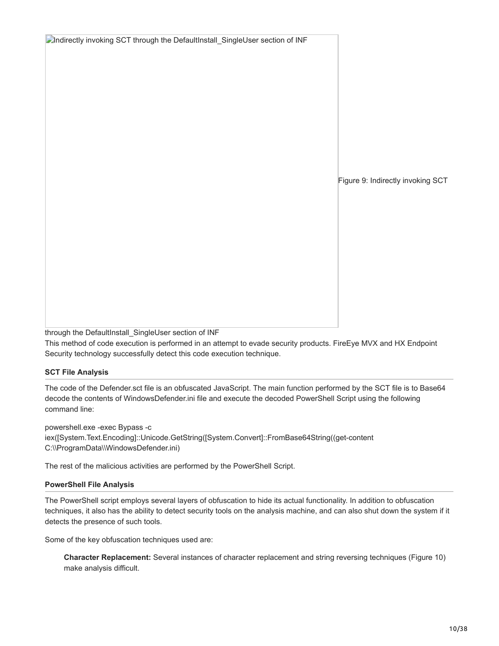Figure 9: Indirectly invoking SCT

through the DefaultInstall\_SingleUser section of INF

This method of code execution is performed in an attempt to evade security products. FireEye MVX and HX Endpoint Security technology successfully detect this code execution technique.

## **SCT File Analysis**

The code of the Defender.sct file is an obfuscated JavaScript. The main function performed by the SCT file is to Base64 decode the contents of WindowsDefender.ini file and execute the decoded PowerShell Script using the following command line:

powershell.exe -exec Bypass -c iex([System.Text.Encoding]::Unicode.GetString([System.Convert]::FromBase64String((get-content C:\\ProgramData\\WindowsDefender.ini)

The rest of the malicious activities are performed by the PowerShell Script.

**Indirectly invoking SCT through the DefaultInstall\_SingleUser section of INF** 

## **PowerShell File Analysis**

The PowerShell script employs several layers of obfuscation to hide its actual functionality. In addition to obfuscation techniques, it also has the ability to detect security tools on the analysis machine, and can also shut down the system if it detects the presence of such tools.

Some of the key obfuscation techniques used are:

**Character Replacement:** Several instances of character replacement and string reversing techniques (Figure 10) make analysis difficult.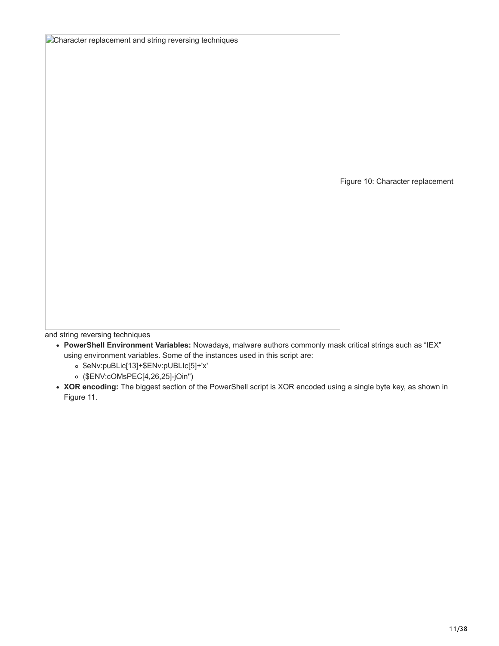| Character replacement and string reversing techniques |                                  |
|-------------------------------------------------------|----------------------------------|
|                                                       |                                  |
|                                                       |                                  |
|                                                       |                                  |
|                                                       |                                  |
|                                                       |                                  |
|                                                       |                                  |
|                                                       |                                  |
|                                                       |                                  |
|                                                       |                                  |
|                                                       |                                  |
|                                                       | Figure 10: Character replacement |
|                                                       |                                  |
|                                                       |                                  |
|                                                       |                                  |
|                                                       |                                  |
|                                                       |                                  |
|                                                       |                                  |
|                                                       |                                  |
|                                                       |                                  |
|                                                       |                                  |
|                                                       |                                  |

and string reversing techniques

- **PowerShell Environment Variables:** Nowadays, malware authors commonly mask critical strings such as "IEX" using environment variables. Some of the instances used in this script are:
	- \$eNv:puBLic[13]+\$ENv:pUBLIc[5]+'x'
	- (\$ENV:cOMsPEC[4,26,25]-jOin'')
- **XOR encoding:** The biggest section of the PowerShell script is XOR encoded using a single byte key, as shown in Figure 11.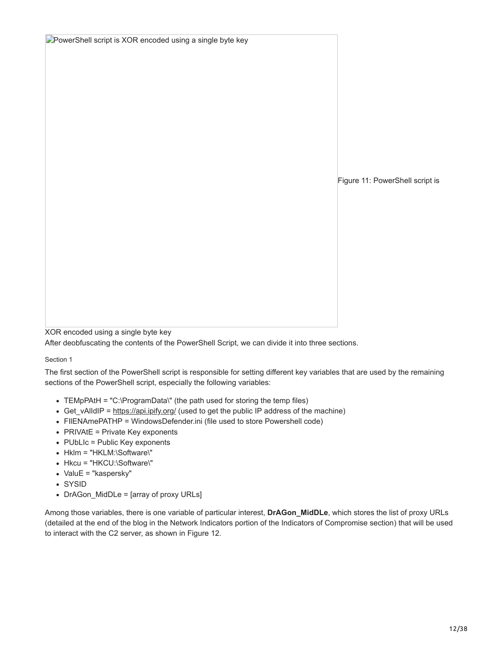| PowerShell script is XOR encoded using a single byte key |                                 |
|----------------------------------------------------------|---------------------------------|
|                                                          |                                 |
|                                                          |                                 |
|                                                          |                                 |
|                                                          |                                 |
|                                                          |                                 |
|                                                          |                                 |
|                                                          |                                 |
|                                                          |                                 |
|                                                          | Figure 11: PowerShell script is |
|                                                          |                                 |
|                                                          |                                 |
|                                                          |                                 |
|                                                          |                                 |
|                                                          |                                 |
|                                                          |                                 |
|                                                          |                                 |
|                                                          |                                 |
|                                                          |                                 |

XOR encoded using a single byte key

After deobfuscating the contents of the PowerShell Script, we can divide it into three sections.

#### Section 1

The first section of the PowerShell script is responsible for setting different key variables that are used by the remaining sections of the PowerShell script, especially the following variables:

- TEMpPAtH = "C:\ProgramData\" (the path used for storing the temp files)
- Get vAlIdIP = <https://api.ipify.org/> (used to get the public IP address of the machine)
- FIlENAmePATHP = WindowsDefender.ini (file used to store Powershell code)
- $\bullet$  PRIVAtE = Private Key exponents
- PUbLIc = Public Key exponents
- Hklm = "HKLM:\Software\"
- Hkcu = "HKCU:\Software\"
- ValuE = "kaspersky"
- SYSID
- DrAGon\_MidDLe = [array of proxy URLs]

Among those variables, there is one variable of particular interest, **DrAGon\_MidDLe**, which stores the list of proxy URLs (detailed at the end of the blog in the Network Indicators portion of the Indicators of Compromise section) that will be used to interact with the C2 server, as shown in Figure 12.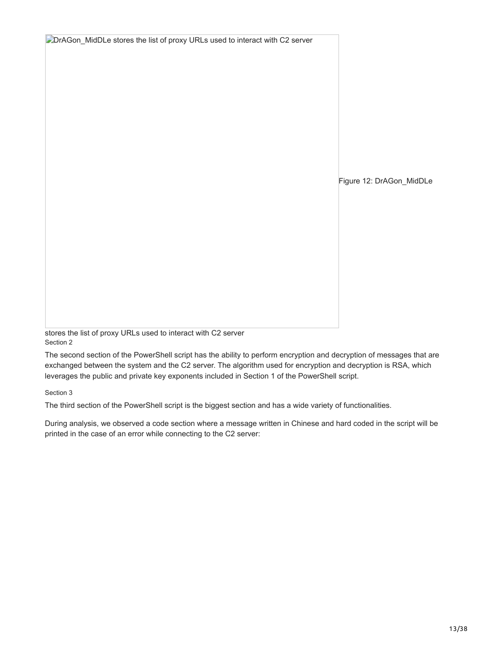| DrAGon_MidDLe stores the list of proxy URLs used to interact with C2 server |                          |
|-----------------------------------------------------------------------------|--------------------------|
|                                                                             |                          |
|                                                                             |                          |
|                                                                             |                          |
|                                                                             |                          |
|                                                                             |                          |
|                                                                             |                          |
|                                                                             |                          |
|                                                                             |                          |
|                                                                             | Figure 12: DrAGon_MidDLe |
|                                                                             |                          |
|                                                                             |                          |
|                                                                             |                          |
|                                                                             |                          |
|                                                                             |                          |
|                                                                             |                          |
|                                                                             |                          |
|                                                                             |                          |
|                                                                             |                          |
|                                                                             |                          |

stores the list of proxy URLs used to interact with C2 server Section 2

The second section of the PowerShell script has the ability to perform encryption and decryption of messages that are exchanged between the system and the C2 server. The algorithm used for encryption and decryption is RSA, which leverages the public and private key exponents included in Section 1 of the PowerShell script.

Section 3

The third section of the PowerShell script is the biggest section and has a wide variety of functionalities.

During analysis, we observed a code section where a message written in Chinese and hard coded in the script will be printed in the case of an error while connecting to the C2 server: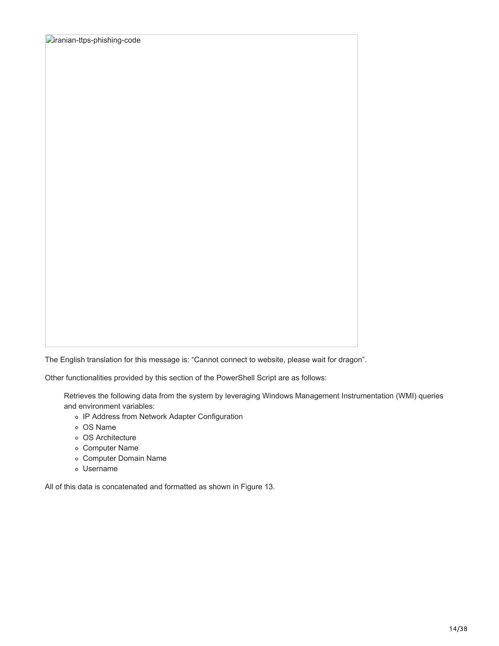The English translation for this message is: "Cannot connect to website, please wait for dragon".

Other functionalities provided by this section of the PowerShell Script are as follows:

Retrieves the following data from the system by leveraging Windows Management Instrumentation (WMI) queries and environment variables:

- IP Address from Network Adapter Configuration
- OS Name
- OS Architecture
- Computer Name
- Computer Domain Name
- Username

All of this data is concatenated and formatted as shown in Figure 13.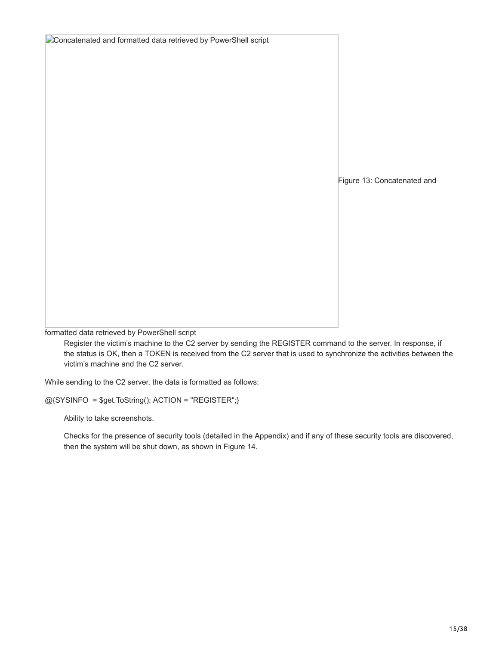| Concatenated and formatted data retrieved by PowerShell script |                             |
|----------------------------------------------------------------|-----------------------------|
|                                                                |                             |
|                                                                | Figure 13: Concatenated and |
|                                                                |                             |
|                                                                |                             |

formatted data retrieved by PowerShell script

Register the victim's machine to the C2 server by sending the REGISTER command to the server. In response, if the status is OK, then a TOKEN is received from the C2 server that is used to synchronize the activities between the victim's machine and the C2 server.

While sending to the C2 server, the data is formatted as follows:

@{SYSINFO = \$get.ToString(); ACTION = "REGISTER";}

Ability to take screenshots.

Checks for the presence of security tools (detailed in the Appendix) and if any of these security tools are discovered, then the system will be shut down, as shown in Figure 14.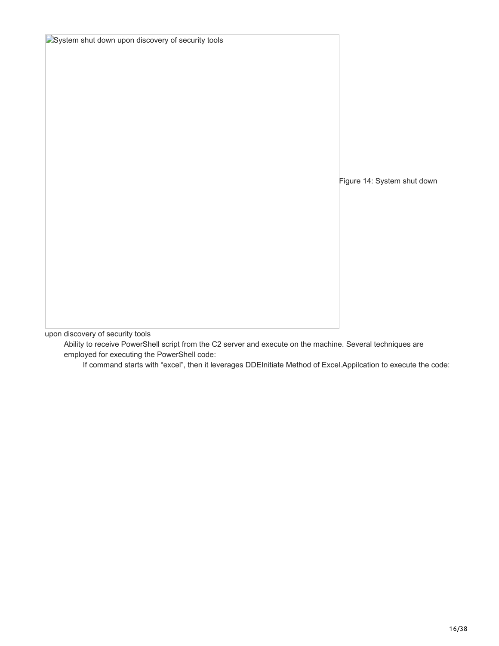| <b>E</b> System shut down upon discovery of security tools |                             |
|------------------------------------------------------------|-----------------------------|
|                                                            |                             |
|                                                            |                             |
|                                                            |                             |
|                                                            |                             |
|                                                            |                             |
|                                                            |                             |
|                                                            |                             |
|                                                            |                             |
|                                                            |                             |
|                                                            |                             |
|                                                            |                             |
|                                                            | Figure 14: System shut down |
|                                                            |                             |
|                                                            |                             |
|                                                            |                             |
|                                                            |                             |
|                                                            |                             |
|                                                            |                             |
|                                                            |                             |
|                                                            |                             |

upon discovery of security tools

Ability to receive PowerShell script from the C2 server and execute on the machine. Several techniques are employed for executing the PowerShell code:

If command starts with "excel", then it leverages DDEInitiate Method of Excel.Appilcation to execute the code: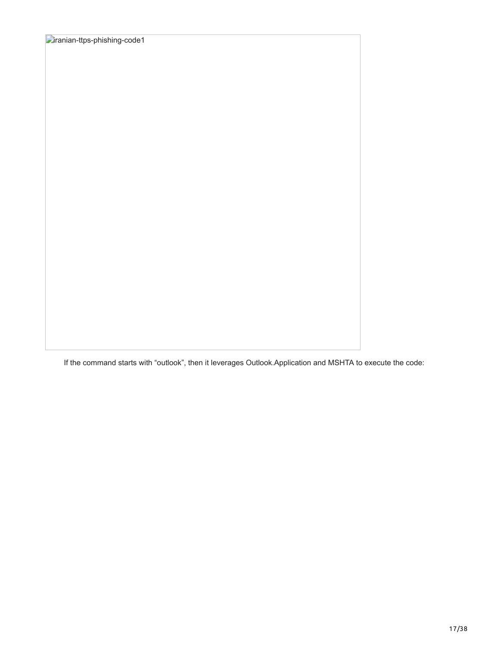If the command starts with "outlook", then it leverages Outlook.Application and MSHTA to execute the code: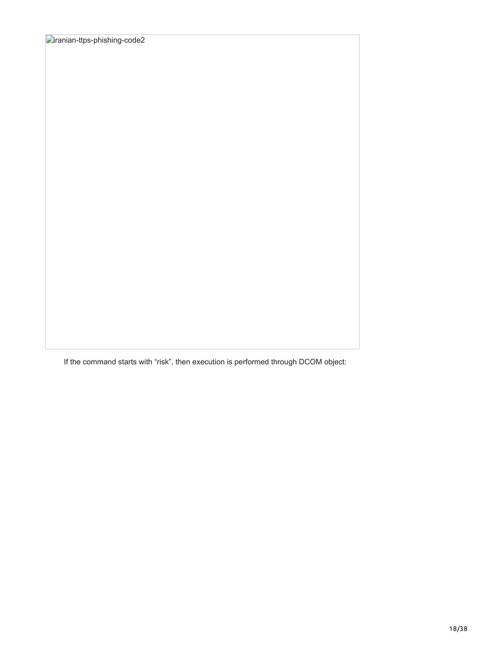If the command starts with "risk", then execution is performed through DCOM object: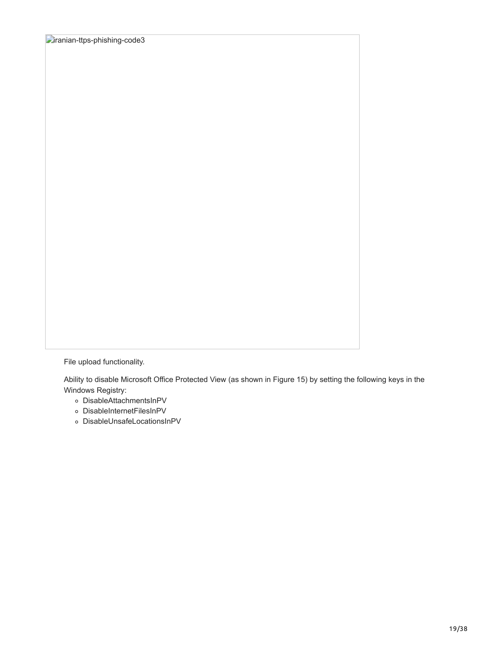File upload functionality.

Ability to disable Microsoft Office Protected View (as shown in Figure 15) by setting the following keys in the Windows Registry:

- DisableAttachmentsInPV
- DisableInternetFilesInPV
- DisableUnsafeLocationsInPV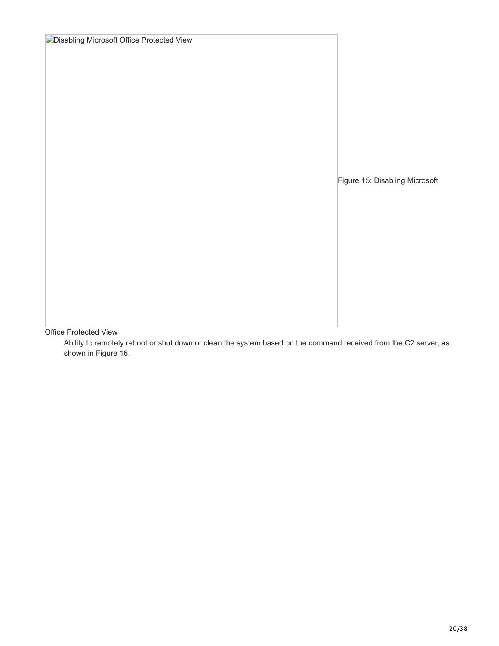| <b>Disabling Microsoft Office Protected View</b> |                                |
|--------------------------------------------------|--------------------------------|
|                                                  |                                |
|                                                  |                                |
|                                                  |                                |
|                                                  |                                |
|                                                  |                                |
|                                                  |                                |
|                                                  |                                |
|                                                  |                                |
|                                                  |                                |
|                                                  | Figure 15: Disabling Microsoft |
|                                                  |                                |
|                                                  |                                |
|                                                  |                                |
|                                                  |                                |
|                                                  |                                |
|                                                  |                                |
|                                                  |                                |
|                                                  |                                |
|                                                  |                                |
|                                                  |                                |

Office Protected View

Ability to remotely reboot or shut down or clean the system based on the command received from the C2 server, as shown in Figure 16.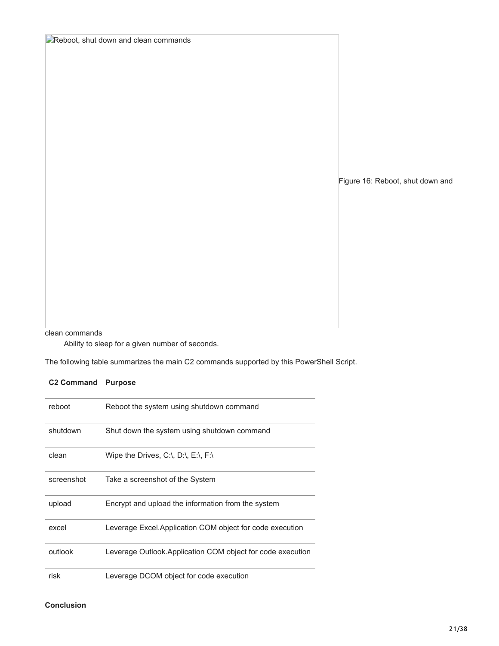Figure 16: Reboot, shut down and

clean commands

Ability to sleep for a given number of seconds.

**Reboot, shut down and clean commands** 

The following table summarizes the main C2 commands supported by this PowerShell Script.

## **C2 Command Purpose**

| reboot     | Reboot the system using shutdown command                                       |
|------------|--------------------------------------------------------------------------------|
| shutdown   | Shut down the system using shutdown command                                    |
| clean      | Wipe the Drives, $C:\setminus$ , $D:\setminus$ , $E:\setminus$ , $F:\setminus$ |
| screenshot | Take a screenshot of the System                                                |
| upload     | Encrypt and upload the information from the system                             |
| excel      | Leverage Excel.Application COM object for code execution                       |
| outlook    | Leverage Outlook. Application COM object for code execution                    |
| risk       | Leverage DCOM object for code execution                                        |

#### **Conclusion**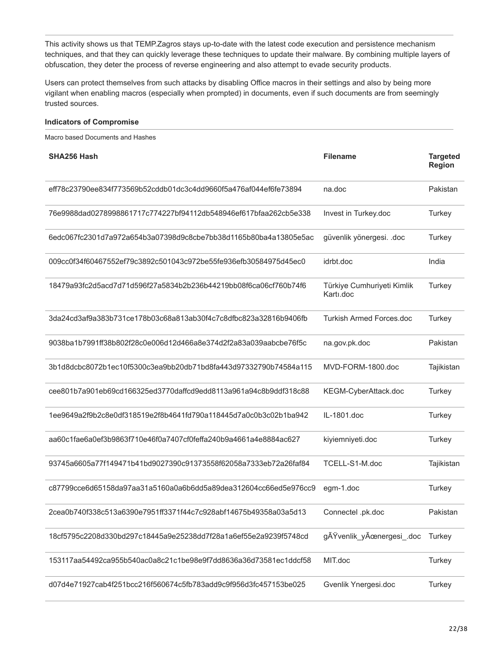This activity shows us that TEMP.Zagros stays up-to-date with the latest code execution and persistence mechanism techniques, and that they can quickly leverage these techniques to update their malware. By combining multiple layers of obfuscation, they deter the process of reverse engineering and also attempt to evade security products.

Users can protect themselves from such attacks by disabling Office macros in their settings and also by being more vigilant when enabling macros (especially when prompted) in documents, even if such documents are from seemingly trusted sources.

#### **Indicators of Compromise**

Macro based Documents and Hashes

| <b>SHA256 Hash</b>                                               | <b>Filename</b>                         | <b>Targeted</b><br><b>Region</b> |
|------------------------------------------------------------------|-----------------------------------------|----------------------------------|
| eff78c23790ee834f773569b52cddb01dc3c4dd9660f5a476af044ef6fe73894 | na.doc                                  | Pakistan                         |
| 76e9988dad0278998861717c774227bf94112db548946ef617bfaa262cb5e338 | Invest in Turkey.doc                    | Turkey                           |
| 6edc067fc2301d7a972a654b3a07398d9c8cbe7bb38d1165b80ba4a13805e5ac | güvenlik yönergesi. .doc                | Turkey                           |
| 009cc0f34f60467552ef79c3892c501043c972be55fe936efb30584975d45ec0 | idrbt.doc                               | India                            |
| 18479a93fc2d5acd7d71d596f27a5834b2b236b44219bb08f6ca06cf760b74f6 | Türkiye Cumhuriyeti Kimlik<br>Karti.doc | Turkey                           |
| 3da24cd3af9a383b731ce178b03c68a813ab30f4c7c8dfbc823a32816b9406fb | <b>Turkish Armed Forces.doc</b>         | Turkey                           |
| 9038ba1b7991ff38b802f28c0e006d12d466a8e374d2f2a83a039aabcbe76f5c | na.gov.pk.doc                           | Pakistan                         |
| 3b1d8dcbc8072b1ec10f5300c3ea9bb20db71bd8fa443d97332790b74584a115 | MVD-FORM-1800.doc                       | Tajikistan                       |
| cee801b7a901eb69cd166325ed3770daffcd9edd8113a961a94c8b9ddf318c88 | KEGM-CyberAttack.doc                    | Turkey                           |
| 1ee9649a2f9b2c8e0df318519e2f8b4641fd790a118445d7a0c0b3c02b1ba942 | IL-1801.doc                             | Turkey                           |
| aa60c1fae6a0ef3b9863f710e46f0a7407cf0feffa240b9a4661a4e8884ac627 | kiyiemniyeti.doc                        | Turkey                           |
| 93745a6605a77f149471b41bd9027390c91373558f62058a7333eb72a26faf84 | TCELL-S1-M.doc                          | Tajikistan                       |
| c87799cce6d65158da97aa31a5160a0a6b6dd5a89dea312604cc66ed5e976cc9 | egm-1.doc                               | Turkey                           |
| 2cea0b740f338c513a6390e7951ff3371f44c7c928abf14675b49358a03a5d13 | Connectel .pk.doc                       | Pakistan                         |
| 18cf5795c2208d330bd297c18445a9e25238dd7f28a1a6ef55e2a9239f5748cd | gßvenlik yÜnergesi .doc                 | Turkey                           |
| 153117aa54492ca955b540ac0a8c21c1be98e9f7dd8636a36d73581ec1ddcf58 | MIT.doc                                 | Turkey                           |
| d07d4e71927cab4f251bcc216f560674c5fb783add9c9f956d3fc457153be025 | Gvenlik Ynergesi.doc                    | Turkey                           |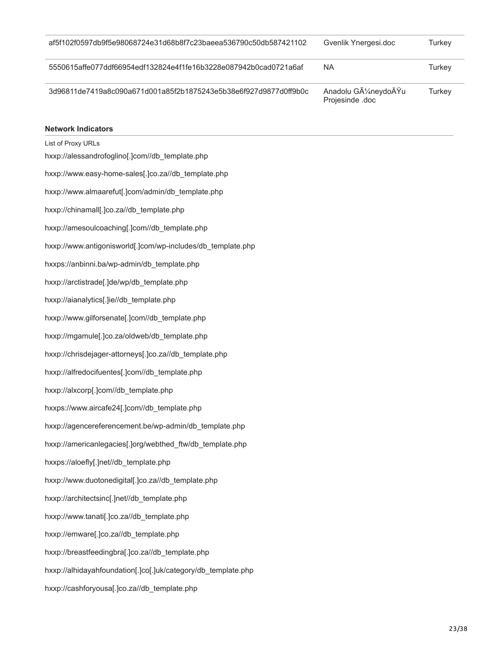| af5f102f0597db9f5e98068724e31d68b8f7c23baeea536790c50db587421102 | Gvenlik Ynergesi.doc                                  | Turkey |
|------------------------------------------------------------------|-------------------------------------------------------|--------|
| 5550615affe077ddf66954edf132824e4f1fe16b3228e087942b0cad0721a6af | <b>NA</b>                                             | Turkev |
| 3d96811de7419a8c090a671d001a85f2b1875243e5b38e6f927d9877d0ff9b0c | Anadolu GA <sup>1</sup> /4neydoÄŸu<br>Projesinde .doc | Turkey |

#### **Network Indicators**

List of Proxy URLs hxxp://alessandrofoglino[.]com//db\_template.php hxxp://www.easy-home-sales[.]co.za//db\_template.php hxxp://www.almaarefut[.]com/admin/db\_template.php hxxp://chinamall[.]co.za//db\_template.php hxxp://amesoulcoaching[.]com//db\_template.php hxxp://www.antigonisworld[.]com/wp-includes/db\_template.php hxxps://anbinni.ba/wp-admin/db\_template.php hxxp://arctistrade[.]de/wp/db\_template.php hxxp://aianalytics[.]ie//db\_template.php hxxp://www.gilforsenate[.]com//db\_template.php hxxp://mgamule[.]co.za/oldweb/db\_template.php hxxp://chrisdejager-attorneys[.]co.za//db\_template.php hxxp://alfredocifuentes[.]com//db\_template.php hxxp://alxcorp[.]com//db\_template.php hxxps://www.aircafe24[.]com//db\_template.php hxxp://agencereferencement.be/wp-admin/db\_template.php hxxp://americanlegacies[.]org/webthed\_ftw/db\_template.php hxxps://aloefly[.]net//db\_template.php hxxp://www.duotonedigital[.]co.za//db\_template.php hxxp://architectsinc[.]net//db\_template.php hxxp://www.tanati[.]co.za//db\_template.php hxxp://emware[.]co.za//db\_template.php hxxp://breastfeedingbra[.]co.za//db\_template.php hxxp://alhidayahfoundation[.]co[.]uk/category/db\_template.php hxxp://cashforyousa[.]co.za//db\_template.php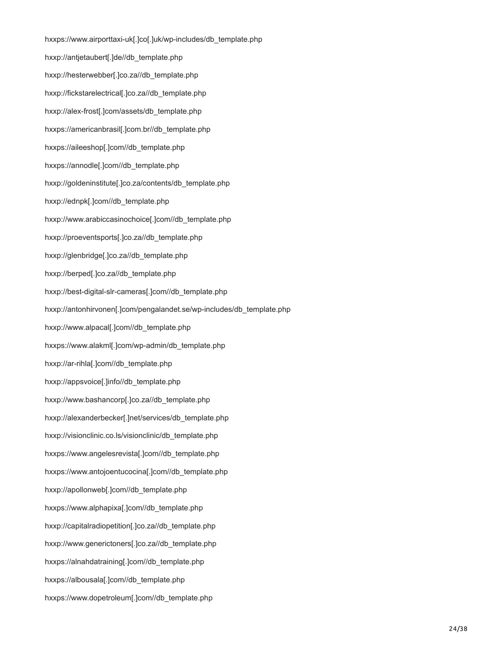hxxps://www.airporttaxi-uk[.]co[.]uk/wp-includes/db\_template.php hxxp://antjetaubert[.]de//db\_template.php hxxp://hesterwebber[.]co.za//db\_template.php hxxp://fickstarelectrical[.]co.za//db\_template.php hxxp://alex-frost[.]com/assets/db\_template.php hxxps://americanbrasil[.]com.br//db\_template.php hxxps://aileeshop[.]com//db\_template.php hxxps://annodle[.]com//db\_template.php hxxp://goldeninstitute[.]co.za/contents/db\_template.php hxxp://ednpk[.]com//db\_template.php hxxp://www.arabiccasinochoice[.]com//db\_template.php hxxp://proeventsports[.]co.za//db\_template.php hxxp://glenbridge[.]co.za//db\_template.php hxxp://berped[.]co.za//db\_template.php hxxp://best-digital-slr-cameras[.]com//db\_template.php hxxp://antonhirvonen[.]com/pengalandet.se/wp-includes/db\_template.php hxxp://www.alpacal[.]com//db\_template.php hxxps://www.alakml[.]com/wp-admin/db\_template.php hxxp://ar-rihla[.]com//db\_template.php hxxp://appsvoice[.]info//db\_template.php hxxp://www.bashancorp[.]co.za//db\_template.php hxxp://alexanderbecker[.]net/services/db\_template.php hxxp://visionclinic.co.ls/visionclinic/db\_template.php hxxps://www.angelesrevista[.]com//db\_template.php hxxps://www.antojoentucocina[.]com//db\_template.php hxxp://apollonweb[.]com//db\_template.php hxxps://www.alphapixa[.]com//db\_template.php hxxp://capitalradiopetition[.]co.za//db\_template.php hxxp://www.generictoners[.]co.za//db\_template.php hxxps://alnahdatraining[.]com//db\_template.php hxxps://albousala[.]com//db\_template.php hxxps://www.dopetroleum[.]com//db\_template.php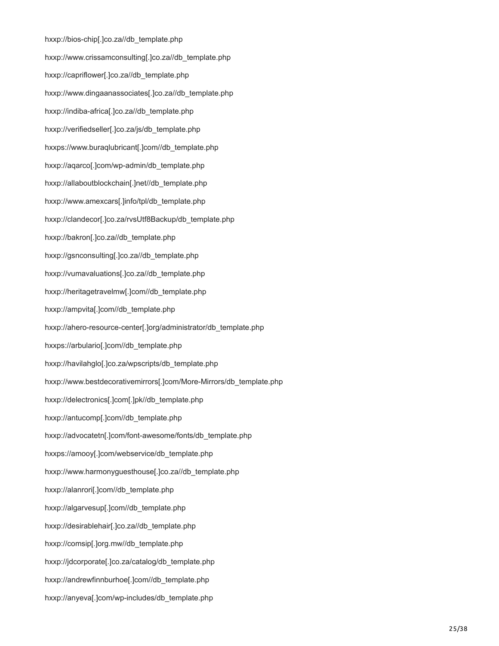hxxp://bios-chip[.]co.za//db\_template.php hxxp://www.crissamconsulting[.]co.za//db\_template.php hxxp://capriflower[.]co.za//db\_template.php hxxp://www.dingaanassociates[.]co.za//db\_template.php hxxp://indiba-africa[.]co.za//db\_template.php hxxp://verifiedseller[.]co.za/js/db\_template.php hxxps://www.buraqlubricant[.]com//db\_template.php hxxp://aqarco[.]com/wp-admin/db\_template.php hxxp://allaboutblockchain[.]net//db\_template.php hxxp://www.amexcars[.]info/tpl/db\_template.php hxxp://clandecor[.]co.za/rvsUtf8Backup/db\_template.php hxxp://bakron[.]co.za//db\_template.php hxxp://gsnconsulting[.]co.za//db\_template.php hxxp://vumavaluations[.]co.za//db\_template.php hxxp://heritagetravelmw[.]com//db\_template.php hxxp://ampvita[.]com//db\_template.php hxxp://ahero-resource-center[.]org/administrator/db\_template.php hxxps://arbulario[.]com//db\_template.php hxxp://havilahglo[.]co.za/wpscripts/db\_template.php hxxp://www.bestdecorativemirrors[.]com/More-Mirrors/db\_template.php hxxp://delectronics[.]com[.]pk//db\_template.php hxxp://antucomp[.]com//db\_template.php hxxp://advocatetn[.]com/font-awesome/fonts/db\_template.php hxxps://amooy[.]com/webservice/db\_template.php hxxp://www.harmonyguesthouse[.]co.za//db\_template.php hxxp://alanrori[.]com//db\_template.php hxxp://algarvesup[.]com//db\_template.php hxxp://desirablehair[.]co.za//db\_template.php hxxp://comsip[.]org.mw//db\_template.php hxxp://jdcorporate[.]co.za/catalog/db\_template.php hxxp://andrewfinnburhoe[.]com//db\_template.php hxxp://anyeva[.]com/wp-includes/db\_template.php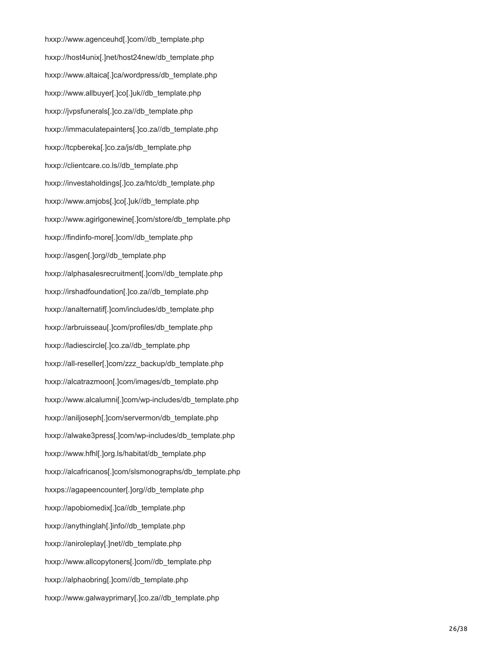hxxp://www.agenceuhd[.]com//db\_template.php hxxp://host4unix[.]net/host24new/db\_template.php hxxp://www.altaica[.]ca/wordpress/db\_template.php hxxp://www.allbuyer[.]co[.]uk//db\_template.php hxxp://jvpsfunerals[.]co.za//db\_template.php hxxp://immaculatepainters[.]co.za//db\_template.php hxxp://tcpbereka[.]co.za/js/db\_template.php hxxp://clientcare.co.ls//db\_template.php hxxp://investaholdings[.]co.za/htc/db\_template.php hxxp://www.amjobs[.]co[.]uk//db\_template.php hxxp://www.agirlgonewine[.]com/store/db\_template.php hxxp://findinfo-more[.]com//db\_template.php hxxp://asgen[.]org//db\_template.php hxxp://alphasalesrecruitment[.]com//db\_template.php hxxp://irshadfoundation[.]co.za//db\_template.php hxxp://analternatif[.]com/includes/db\_template.php hxxp://arbruisseau[.]com/profiles/db\_template.php hxxp://ladiescircle[.]co.za//db\_template.php hxxp://all-reseller[.]com/zzz\_backup/db\_template.php hxxp://alcatrazmoon[.]com/images/db\_template.php hxxp://www.alcalumni[.]com/wp-includes/db\_template.php hxxp://aniljoseph[.]com/servermon/db\_template.php hxxp://alwake3press[.]com/wp-includes/db\_template.php hxxp://www.hfhl[.]org.ls/habitat/db\_template.php hxxp://alcafricanos[.]com/slsmonographs/db\_template.php hxxps://agapeencounter[.]org//db\_template.php hxxp://apobiomedix[.]ca//db\_template.php hxxp://anythinglah[.]info//db\_template.php hxxp://aniroleplay[.]net//db\_template.php hxxp://www.allcopytoners[.]com//db\_template.php hxxp://alphaobring[.]com//db\_template.php hxxp://www.galwayprimary[.]co.za//db\_template.php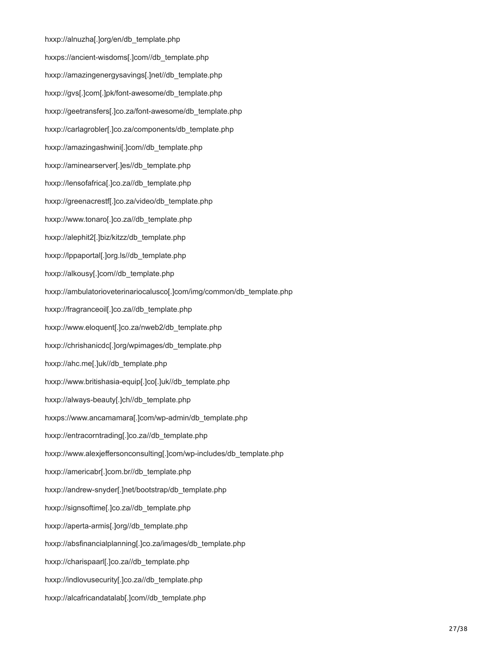hxxp://alnuzha[.]org/en/db\_template.php hxxps://ancient-wisdoms[.]com//db\_template.php hxxp://amazingenergysavings[.]net//db\_template.php hxxp://gvs[.]com[.]pk/font-awesome/db\_template.php hxxp://geetransfers[.]co.za/font-awesome/db\_template.php hxxp://carlagrobler[.]co.za/components/db\_template.php hxxp://amazingashwini[.]com//db\_template.php hxxp://aminearserver[.]es//db\_template.php hxxp://lensofafrica[.]co.za//db\_template.php hxxp://greenacrestf[.]co.za/video/db\_template.php hxxp://www.tonaro[.]co.za//db\_template.php hxxp://alephit2[.]biz/kitzz/db\_template.php hxxp://lppaportal[.]org.ls//db\_template.php hxxp://alkousy[.]com//db\_template.php hxxp://ambulatorioveterinariocalusco[.]com/img/common/db\_template.php hxxp://fragranceoil[.]co.za//db\_template.php hxxp://www.eloquent[.]co.za/nweb2/db\_template.php hxxp://chrishanicdc[.]org/wpimages/db\_template.php hxxp://ahc.me[.]uk//db\_template.php hxxp://www.britishasia-equip[.]co[.]uk//db\_template.php hxxp://always-beauty[.]ch//db\_template.php hxxps://www.ancamamara[.]com/wp-admin/db\_template.php hxxp://entracorntrading[.]co.za//db\_template.php hxxp://www.alexjeffersonconsulting[.]com/wp-includes/db\_template.php hxxp://americabr[.]com.br//db\_template.php hxxp://andrew-snyder[.]net/bootstrap/db\_template.php hxxp://signsoftime[.]co.za//db\_template.php hxxp://aperta-armis[.]org//db\_template.php hxxp://absfinancialplanning[.]co.za/images/db\_template.php hxxp://charispaarl[.]co.za//db\_template.php hxxp://indlovusecurity[.]co.za//db\_template.php hxxp://alcafricandatalab[.]com//db\_template.php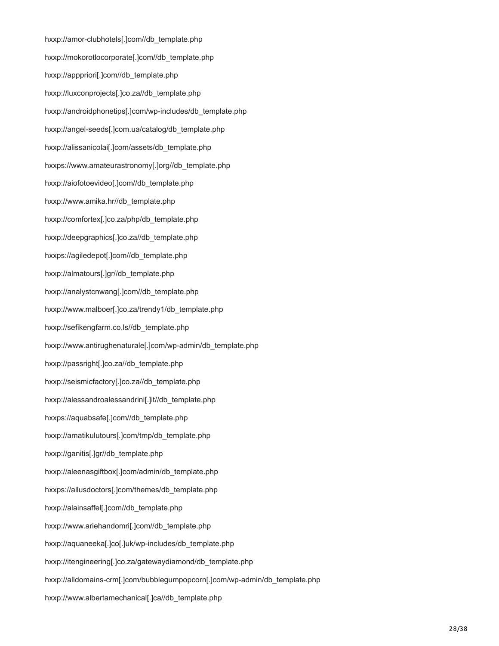hxxp://amor-clubhotels[.]com//db\_template.php hxxp://mokorotlocorporate[.]com//db\_template.php hxxp://apppriori[.]com//db\_template.php hxxp://luxconprojects[.]co.za//db\_template.php hxxp://androidphonetips[.]com/wp-includes/db\_template.php hxxp://angel-seeds[.]com.ua/catalog/db\_template.php hxxp://alissanicolai[.]com/assets/db\_template.php hxxps://www.amateurastronomy[.]org//db\_template.php hxxp://aiofotoevideo[.]com//db\_template.php hxxp://www.amika.hr//db\_template.php hxxp://comfortex[.]co.za/php/db\_template.php hxxp://deepgraphics[.]co.za//db\_template.php hxxps://agiledepot[.]com//db\_template.php hxxp://almatours[.]gr//db\_template.php hxxp://analystcnwang[.]com//db\_template.php hxxp://www.malboer[.]co.za/trendy1/db\_template.php hxxp://sefikengfarm.co.ls//db\_template.php hxxp://www.antirughenaturale[.]com/wp-admin/db\_template.php hxxp://passright[.]co.za//db\_template.php hxxp://seismicfactory[.]co.za//db\_template.php hxxp://alessandroalessandrini[.]it//db\_template.php hxxps://aquabsafe[.]com//db\_template.php hxxp://amatikulutours[.]com/tmp/db\_template.php hxxp://ganitis[.]gr//db\_template.php hxxp://aleenasgiftbox[.]com/admin/db\_template.php hxxps://allusdoctors[.]com/themes/db\_template.php hxxp://alainsaffel[.]com//db\_template.php hxxp://www.ariehandomri[.]com//db\_template.php hxxp://aquaneeka[.]co[.]uk/wp-includes/db\_template.php hxxp://itengineering[.]co.za/gatewaydiamond/db\_template.php hxxp://alldomains-crm[.]com/bubblegumpopcorn[.]com/wp-admin/db\_template.php hxxp://www.albertamechanical[.]ca//db\_template.php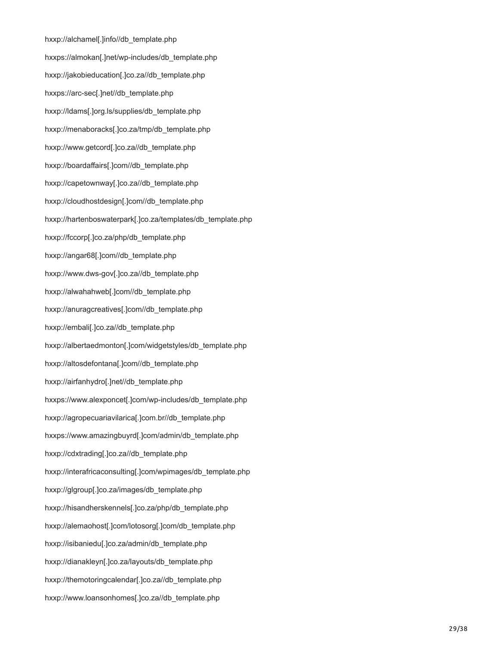hxxp://alchamel[.]info//db\_template.php hxxps://almokan[.]net/wp-includes/db\_template.php hxxp://jakobieducation[.]co.za//db\_template.php hxxps://arc-sec[.]net//db\_template.php hxxp://ldams[.]org.ls/supplies/db\_template.php hxxp://menaboracks[.]co.za/tmp/db\_template.php hxxp://www.getcord[.]co.za//db\_template.php hxxp://boardaffairs[.]com//db\_template.php hxxp://capetownway[.]co.za//db\_template.php hxxp://cloudhostdesign[.]com//db\_template.php hxxp://hartenboswaterpark[.]co.za/templates/db\_template.php hxxp://fccorp[.]co.za/php/db\_template.php hxxp://angar68[.]com//db\_template.php hxxp://www.dws-gov[.]co.za//db\_template.php hxxp://alwahahweb[.]com//db\_template.php hxxp://anuragcreatives[.]com//db\_template.php hxxp://embali[.]co.za//db\_template.php hxxp://albertaedmonton[.]com/widgetstyles/db\_template.php hxxp://altosdefontana[.]com//db\_template.php hxxp://airfanhydro[.]net//db\_template.php hxxps://www.alexponcet[.]com/wp-includes/db\_template.php hxxp://agropecuariavilarica[.]com.br//db\_template.php hxxps://www.amazingbuyrd[.]com/admin/db\_template.php hxxp://cdxtrading[.]co.za//db\_template.php hxxp://interafricaconsulting[.]com/wpimages/db\_template.php hxxp://glgroup[.]co.za/images/db\_template.php hxxp://hisandherskennels[.]co.za/php/db\_template.php hxxp://alemaohost[.]com/lotosorg[.]com/db\_template.php hxxp://isibaniedu[.]co.za/admin/db\_template.php hxxp://dianakleyn[.]co.za/layouts/db\_template.php hxxp://themotoringcalendar[.]co.za//db\_template.php hxxp://www.loansonhomes[.]co.za//db\_template.php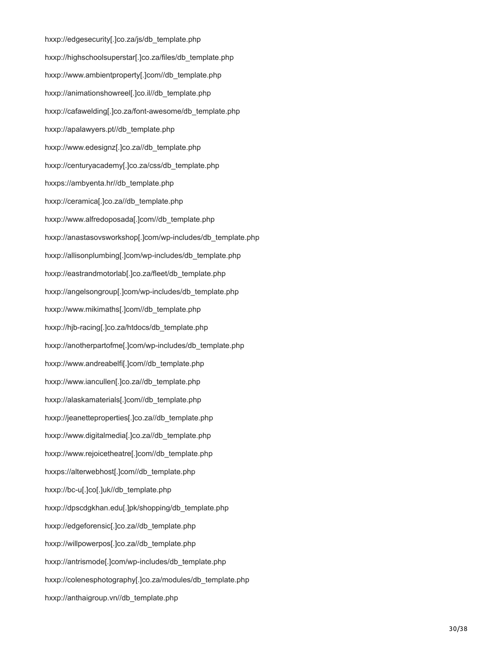hxxp://edgesecurity[.]co.za/js/db\_template.php hxxp://highschoolsuperstar[.]co.za/files/db\_template.php hxxp://www.ambientproperty[.]com//db\_template.php hxxp://animationshowreel[.]co.il//db\_template.php hxxp://cafawelding[.]co.za/font-awesome/db\_template.php hxxp://apalawyers.pt//db\_template.php hxxp://www.edesignz[.]co.za//db\_template.php hxxp://centuryacademy[.]co.za/css/db\_template.php hxxps://ambyenta.hr//db\_template.php hxxp://ceramica[.]co.za//db\_template.php hxxp://www.alfredoposada[.]com//db\_template.php hxxp://anastasovsworkshop[.]com/wp-includes/db\_template.php hxxp://allisonplumbing[.]com/wp-includes/db\_template.php hxxp://eastrandmotorlab[.]co.za/fleet/db\_template.php hxxp://angelsongroup[.]com/wp-includes/db\_template.php hxxp://www.mikimaths[.]com//db\_template.php hxxp://hjb-racing[.]co.za/htdocs/db\_template.php hxxp://anotherpartofme[.]com/wp-includes/db\_template.php hxxp://www.andreabelfi[.]com//db\_template.php hxxp://www.iancullen[.]co.za//db\_template.php hxxp://alaskamaterials[.]com//db\_template.php hxxp://jeanetteproperties[.]co.za//db\_template.php hxxp://www.digitalmedia[.]co.za//db\_template.php hxxp://www.rejoicetheatre[.]com//db\_template.php hxxps://alterwebhost[.]com//db\_template.php hxxp://bc-u[.]co[.]uk//db\_template.php hxxp://dpscdgkhan.edu[.]pk/shopping/db\_template.php hxxp://edgeforensic[.]co.za//db\_template.php hxxp://willpowerpos[.]co.za//db\_template.php hxxp://antrismode[.]com/wp-includes/db\_template.php hxxp://colenesphotography[.]co.za/modules/db\_template.php hxxp://anthaigroup.vn//db\_template.php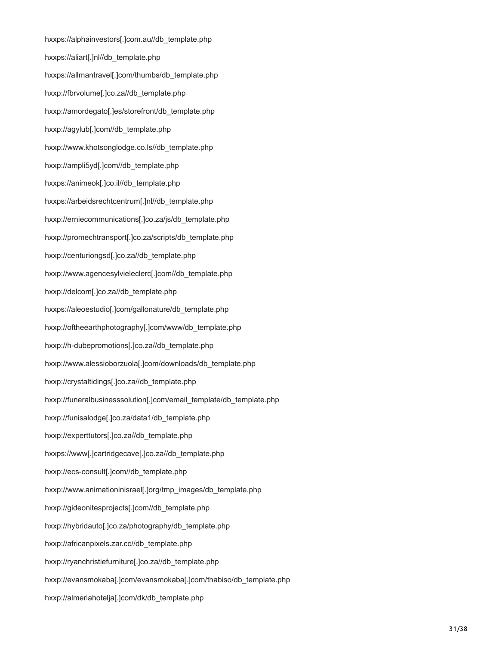hxxps://alphainvestors[.]com.au//db\_template.php hxxps://aliart[.]nl//db\_template.php hxxps://allmantravel[.]com/thumbs/db\_template.php hxxp://fbrvolume[.]co.za//db\_template.php hxxp://amordegato[.]es/storefront/db\_template.php hxxp://agylub[.]com//db\_template.php hxxp://www.khotsonglodge.co.ls//db\_template.php hxxp://ampli5yd[.]com//db\_template.php hxxps://animeok[.]co.il//db\_template.php hxxps://arbeidsrechtcentrum[.]nl//db\_template.php hxxp://erniecommunications[.]co.za/js/db\_template.php hxxp://promechtransport[.]co.za/scripts/db\_template.php hxxp://centuriongsd[.]co.za//db\_template.php hxxp://www.agencesylvieleclerc[.]com//db\_template.php hxxp://delcom[.]co.za//db\_template.php hxxps://aleoestudio[.]com/gallonature/db\_template.php hxxp://oftheearthphotography[.]com/www/db\_template.php hxxp://h-dubepromotions[.]co.za//db\_template.php hxxp://www.alessioborzuola[.]com/downloads/db\_template.php hxxp://crystaltidings[.]co.za//db\_template.php hxxp://funeralbusinesssolution[.]com/email\_template/db\_template.php hxxp://funisalodge[.]co.za/data1/db\_template.php hxxp://experttutors[.]co.za//db\_template.php hxxps://www[.]cartridgecave[.]co.za//db\_template.php hxxp://ecs-consult[.]com//db\_template.php hxxp://www.animationinisrael[.]org/tmp\_images/db\_template.php hxxp://gideonitesprojects[.]com//db\_template.php hxxp://hybridauto[.]co.za/photography/db\_template.php hxxp://africanpixels.zar.cc//db\_template.php hxxp://ryanchristiefurniture[.]co.za//db\_template.php hxxp://evansmokaba[.]com/evansmokaba[.]com/thabiso/db\_template.php hxxp://almeriahotelja[.]com/dk/db\_template.php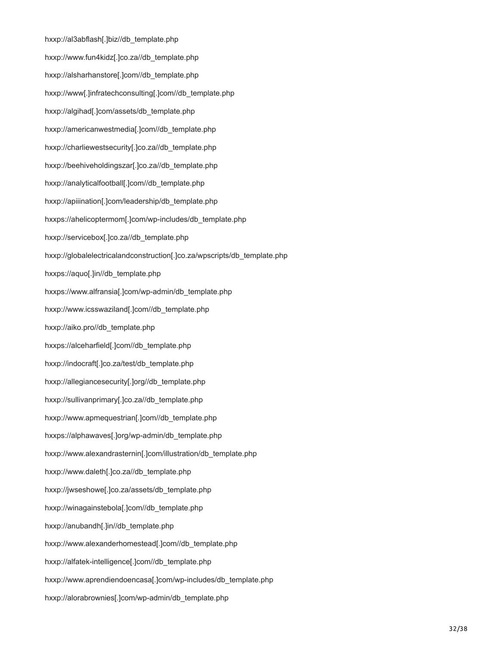hxxp://al3abflash[.]biz//db\_template.php hxxp://www.fun4kidz[.]co.za//db\_template.php hxxp://alsharhanstore[.]com//db\_template.php hxxp://www[.]infratechconsulting[.]com//db\_template.php hxxp://algihad[.]com/assets/db\_template.php hxxp://americanwestmedia[.]com//db\_template.php hxxp://charliewestsecurity[.]co.za//db\_template.php hxxp://beehiveholdingszar[.]co.za//db\_template.php hxxp://analyticalfootball[.]com//db\_template.php hxxp://apiiination[.]com/leadership/db\_template.php hxxps://ahelicoptermom[.]com/wp-includes/db\_template.php hxxp://servicebox[.]co.za//db\_template.php hxxp://globalelectricalandconstruction[.]co.za/wpscripts/db\_template.php hxxps://aquo[.]in//db\_template.php hxxps://www.alfransia[.]com/wp-admin/db\_template.php hxxp://www.icsswaziland[.]com//db\_template.php hxxp://aiko.pro//db\_template.php hxxps://alceharfield[.]com//db\_template.php hxxp://indocraft[.]co.za/test/db\_template.php hxxp://allegiancesecurity[.]org//db\_template.php hxxp://sullivanprimary[.]co.za//db\_template.php hxxp://www.apmequestrian[.]com//db\_template.php hxxps://alphawaves[.]org/wp-admin/db\_template.php hxxp://www.alexandrasternin[.]com/illustration/db\_template.php hxxp://www.daleth[.]co.za//db\_template.php hxxp://jwseshowe[.]co.za/assets/db\_template.php hxxp://winagainstebola[.]com//db\_template.php hxxp://anubandh[.]in//db\_template.php hxxp://www.alexanderhomestead[.]com//db\_template.php hxxp://alfatek-intelligence[.]com//db\_template.php hxxp://www.aprendiendoencasa[.]com/wp-includes/db\_template.php hxxp://alorabrownies[.]com/wp-admin/db\_template.php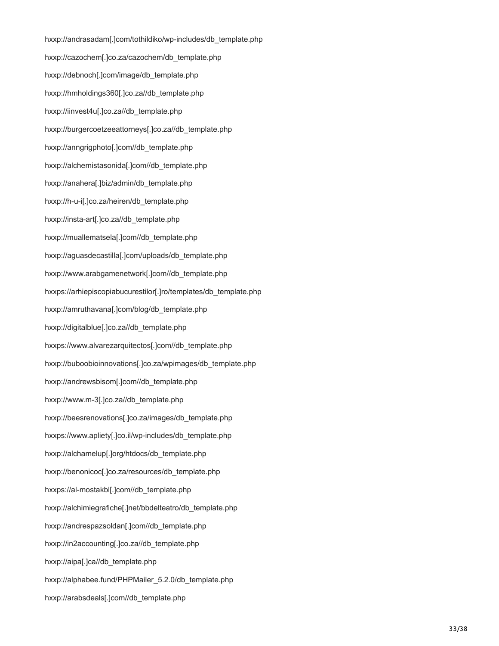hxxp://andrasadam[.]com/tothildiko/wp-includes/db\_template.php hxxp://cazochem[.]co.za/cazochem/db\_template.php hxxp://debnoch[.]com/image/db\_template.php hxxp://hmholdings360[.]co.za//db\_template.php hxxp://iinvest4u[.]co.za//db\_template.php hxxp://burgercoetzeeattorneys[.]co.za//db\_template.php hxxp://anngrigphoto[.]com//db\_template.php hxxp://alchemistasonida[.]com//db\_template.php hxxp://anahera[.]biz/admin/db\_template.php hxxp://h-u-i[.]co.za/heiren/db\_template.php hxxp://insta-art[.]co.za//db\_template.php hxxp://muallematsela[.]com//db\_template.php hxxp://aguasdecastilla[.]com/uploads/db\_template.php hxxp://www.arabgamenetwork[.]com//db\_template.php hxxps://arhiepiscopiabucurestilor[.]ro/templates/db\_template.php hxxp://amruthavana[.]com/blog/db\_template.php hxxp://digitalblue[.]co.za//db\_template.php hxxps://www.alvarezarquitectos[.]com//db\_template.php hxxp://buboobioinnovations[.]co.za/wpimages/db\_template.php hxxp://andrewsbisom[.]com//db\_template.php hxxp://www.m-3[.]co.za//db\_template.php hxxp://beesrenovations[.]co.za/images/db\_template.php hxxps://www.apliety[.]co.il/wp-includes/db\_template.php hxxp://alchamelup[.]org/htdocs/db\_template.php hxxp://benonicoc[.]co.za/resources/db\_template.php hxxps://al-mostakbl[.]com//db\_template.php hxxp://alchimiegrafiche[.]net/bbdelteatro/db\_template.php hxxp://andrespazsoldan[.]com//db\_template.php hxxp://in2accounting[.]co.za//db\_template.php hxxp://aipa[.]ca//db\_template.php hxxp://alphabee.fund/PHPMailer\_5.2.0/db\_template.php hxxp://arabsdeals[.]com//db\_template.php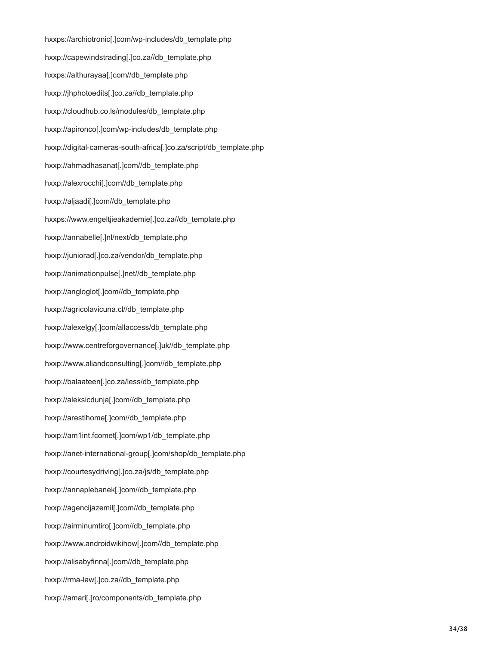hxxps://archiotronic[.]com/wp-includes/db\_template.php hxxp://capewindstrading[.]co.za//db\_template.php hxxps://althurayaa[.]com//db\_template.php hxxp://jhphotoedits[.]co.za//db\_template.php hxxp://cloudhub.co.ls/modules/db\_template.php hxxp://apironco[.]com/wp-includes/db\_template.php hxxp://digital-cameras-south-africa[.]co.za/script/db\_template.php hxxp://ahmadhasanat[.]com//db\_template.php hxxp://alexrocchi[.]com//db\_template.php hxxp://aljaadi[.]com//db\_template.php hxxps://www.engeltjieakademie[.]co.za//db\_template.php hxxp://annabelle[.]nl/next/db\_template.php hxxp://juniorad[.]co.za/vendor/db\_template.php hxxp://animationpulse[.]net//db\_template.php hxxp://angloglot[.]com//db\_template.php hxxp://agricolavicuna.cl//db\_template.php hxxp://alexelgy[.]com/allaccess/db\_template.php hxxp://www.centreforgovernance[.]uk//db\_template.php hxxp://www.aliandconsulting[.]com//db\_template.php hxxp://balaateen[.]co.za/less/db\_template.php hxxp://aleksicdunja[.]com//db\_template.php hxxp://arestihome[.]com//db\_template.php hxxp://am1int.fcomet[.]com/wp1/db\_template.php hxxp://anet-international-group[.]com/shop/db\_template.php hxxp://courtesydriving[.]co.za/js/db\_template.php hxxp://annaplebanek[.]com//db\_template.php hxxp://agencijazemil[.]com//db\_template.php hxxp://airminumtiro[.]com//db\_template.php hxxp://www.androidwikihow[.]com//db\_template.php hxxp://alisabyfinna[.]com//db\_template.php hxxp://rma-law[.]co.za//db\_template.php hxxp://amari[.]ro/components/db\_template.php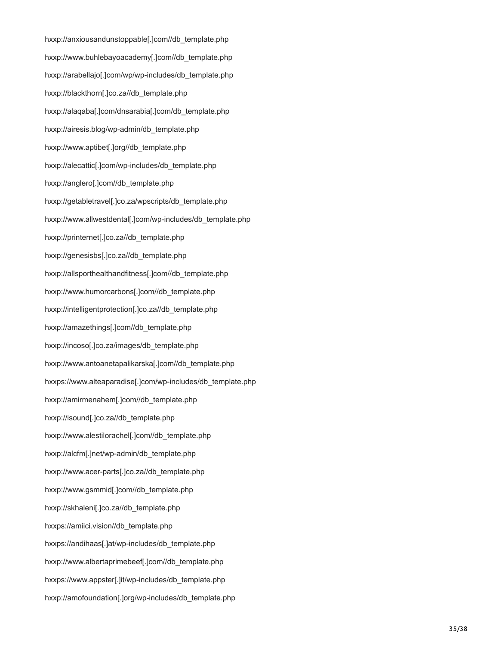hxxp://anxiousandunstoppable[.]com//db\_template.php hxxp://www.buhlebayoacademy[.]com//db\_template.php hxxp://arabellajo[.]com/wp/wp-includes/db\_template.php hxxp://blackthorn[.]co.za//db\_template.php hxxp://alaqaba[.]com/dnsarabia[.]com/db\_template.php hxxp://airesis.blog/wp-admin/db\_template.php hxxp://www.aptibet[.]org//db\_template.php hxxp://alecattic[.]com/wp-includes/db\_template.php hxxp://anglero[.]com//db\_template.php hxxp://getabletravel[.]co.za/wpscripts/db\_template.php hxxp://www.allwestdental[.]com/wp-includes/db\_template.php hxxp://printernet[.]co.za//db\_template.php hxxp://genesisbs[.]co.za//db\_template.php hxxp://allsporthealthandfitness[.]com//db\_template.php hxxp://www.humorcarbons[.]com//db\_template.php hxxp://intelligentprotection[.]co.za//db\_template.php hxxp://amazethings[.]com//db\_template.php hxxp://incoso[.]co.za/images/db\_template.php hxxp://www.antoanetapalikarska[.]com//db\_template.php hxxps://www.alteaparadise[.]com/wp-includes/db\_template.php hxxp://amirmenahem[.]com//db\_template.php hxxp://isound[.]co.za//db\_template.php hxxp://www.alestilorachel[.]com//db\_template.php hxxp://alcfm[.]net/wp-admin/db\_template.php hxxp://www.acer-parts[.]co.za//db\_template.php hxxp://www.gsmmid[.]com//db\_template.php hxxp://skhaleni[.]co.za//db\_template.php hxxps://amiici.vision//db\_template.php hxxps://andihaas[.]at/wp-includes/db\_template.php hxxp://www.albertaprimebeef[.]com//db\_template.php hxxps://www.appster[.]it/wp-includes/db\_template.php hxxp://amofoundation[.]org/wp-includes/db\_template.php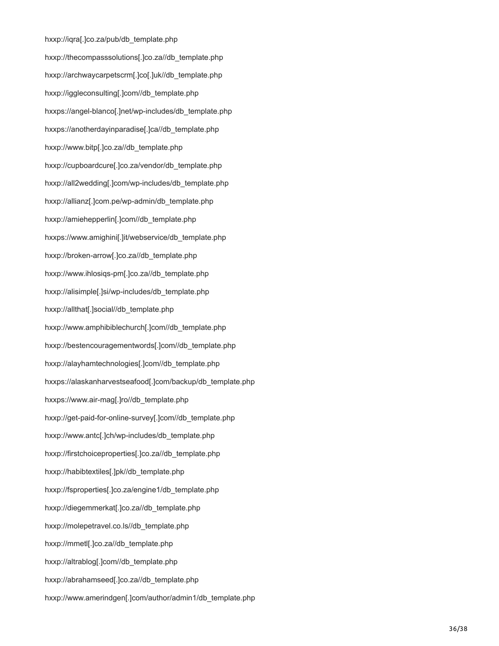hxxp://iqra[.]co.za/pub/db\_template.php hxxp://thecompasssolutions[.]co.za//db\_template.php hxxp://archwaycarpetscrm[.]co[.]uk//db\_template.php hxxp://iggleconsulting[.]com//db\_template.php hxxps://angel-blanco[.]net/wp-includes/db\_template.php hxxps://anotherdayinparadise[.]ca//db\_template.php hxxp://www.bitp[.]co.za//db\_template.php hxxp://cupboardcure[.]co.za/vendor/db\_template.php hxxp://all2wedding[.]com/wp-includes/db\_template.php hxxp://allianz[.]com.pe/wp-admin/db\_template.php hxxp://amiehepperlin[.]com//db\_template.php hxxps://www.amighini[.]it/webservice/db\_template.php hxxp://broken-arrow[.]co.za//db\_template.php hxxp://www.ihlosiqs-pm[.]co.za//db\_template.php hxxp://alisimple[.]si/wp-includes/db\_template.php hxxp://allthat[.]social//db\_template.php hxxp://www.amphibiblechurch[.]com//db\_template.php hxxp://bestencouragementwords[.]com//db\_template.php hxxp://alayhamtechnologies[.]com//db\_template.php hxxps://alaskanharvestseafood[.]com/backup/db\_template.php hxxps://www.air-mag[.]ro//db\_template.php hxxp://get-paid-for-online-survey[.]com//db\_template.php hxxp://www.antc[.]ch/wp-includes/db\_template.php hxxp://firstchoiceproperties[.]co.za//db\_template.php hxxp://habibtextiles[.]pk//db\_template.php hxxp://fsproperties[.]co.za/engine1/db\_template.php hxxp://diegemmerkat[.]co.za//db\_template.php hxxp://molepetravel.co.ls//db\_template.php hxxp://mmetl[.]co.za//db\_template.php hxxp://altrablog[.]com//db\_template.php hxxp://abrahamseed[.]co.za//db\_template.php hxxp://www.amerindgen[.]com/author/admin1/db\_template.php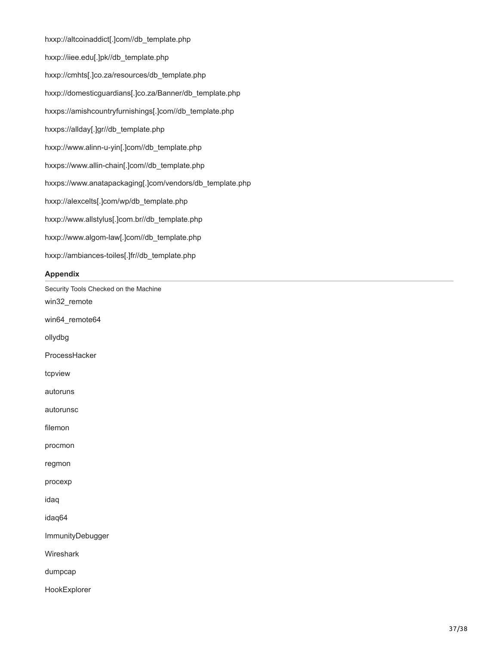hxxp://altcoinaddict[.]com//db\_template.php hxxp://iiee.edu[.]pk//db\_template.php hxxp://cmhts[.]co.za/resources/db\_template.php hxxp://domesticguardians[.]co.za/Banner/db\_template.php hxxps://amishcountryfurnishings[.]com//db\_template.php hxxps://allday[.]gr//db\_template.php hxxp://www.alinn-u-yin[.]com//db\_template.php hxxps://www.allin-chain[.]com//db\_template.php hxxps://www.anatapackaging[.]com/vendors/db\_template.php hxxp://alexcelts[.]com/wp/db\_template.php hxxp://www.allstylus[.]com.br//db\_template.php hxxp://www.algom-law[.]com//db\_template.php hxxp://ambiances-toiles[.]fr//db\_template.php

## **Appendix**

Security Tools Checked on the Machine win32\_remote win64\_remote64 ollydbg ProcessHacker tcpview autoruns autorunsc filemon procmon regmon procexp idaq idaq64 ImmunityDebugger **Wireshark** dumpcap HookExplorer